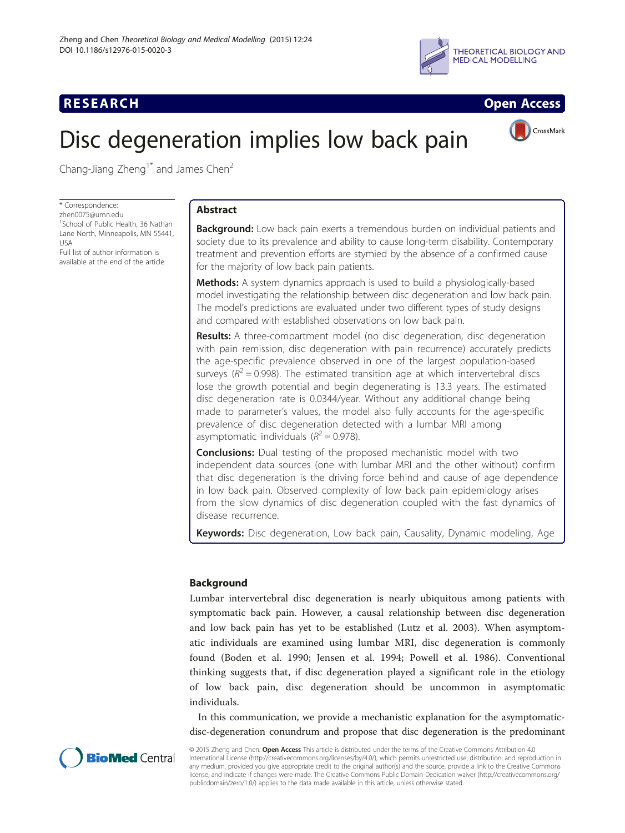

## **RESEARCH RESEARCH** *CHECKER CHECKER CHECKER CHECKER CHECKER CHECKER CHECKER CHECKER CHECKER CHECKER CHECKER*



# Disc degeneration implies low back pain



Chang-Jiang Zheng<sup>1\*</sup> and James Chen<sup>2</sup>

\* Correspondence: [zhen0075@umn.edu](mailto:zhen0075@umn.edu)

<sup>1</sup>School of Public Health, 36 Nathan Lane North, Minneapolis, MN 55441, USA

Full list of author information is available at the end of the article

## Abstract

**Background:** Low back pain exerts a tremendous burden on individual patients and society due to its prevalence and ability to cause long-term disability. Contemporary treatment and prevention efforts are stymied by the absence of a confirmed cause for the majority of low back pain patients.

**Methods:** A system dynamics approach is used to build a physiologically-based model investigating the relationship between disc degeneration and low back pain. The model's predictions are evaluated under two different types of study designs and compared with established observations on low back pain.

Results: A three-compartment model (no disc degeneration, disc degeneration with pain remission, disc degeneration with pain recurrence) accurately predicts the age-specific prevalence observed in one of the largest population-based surveys ( $R^2$  = 0.998). The estimated transition age at which intervertebral discs lose the growth potential and begin degenerating is 13.3 years. The estimated disc degeneration rate is 0.0344/year. Without any additional change being made to parameter's values, the model also fully accounts for the age-specific prevalence of disc degeneration detected with a lumbar MRI among asymptomatic individuals  $(R^2 = 0.978)$ .

**Conclusions:** Dual testing of the proposed mechanistic model with two independent data sources (one with lumbar MRI and the other without) confirm that disc degeneration is the driving force behind and cause of age dependence in low back pain. Observed complexity of low back pain epidemiology arises from the slow dynamics of disc degeneration coupled with the fast dynamics of disease recurrence.

Keywords: Disc degeneration, Low back pain, Causality, Dynamic modeling, Age

## Background

Lumbar intervertebral disc degeneration is nearly ubiquitous among patients with symptomatic back pain. However, a causal relationship between disc degeneration and low back pain has yet to be established (Lutz et al. [2003\)](#page-9-0). When asymptomatic individuals are examined using lumbar MRI, disc degeneration is commonly found (Boden et al. [1990](#page-9-0); Jensen et al. [1994;](#page-9-0) Powell et al. [1986\)](#page-9-0). Conventional thinking suggests that, if disc degeneration played a significant role in the etiology of low back pain, disc degeneration should be uncommon in asymptomatic individuals.

In this communication, we provide a mechanistic explanation for the asymptomaticdisc-degeneration conundrum and propose that disc degeneration is the predominant



© 2015 Zheng and Chen. Open Access This article is distributed under the terms of the Creative Commons Attribution 4.0 International License [\(http://creativecommons.org/licenses/by/4.0/](http://creativecommons.org/licenses/by/4.0/)), which permits unrestricted use, distribution, and reproduction in any medium, provided you give appropriate credit to the original author(s) and the source, provide a link to the Creative Commons license, and indicate if changes were made. The Creative Commons Public Domain Dedication waiver [\(http://creativecommons.org/](http://creativecommons.org/publicdomain/zero/1.0/) [publicdomain/zero/1.0/\)](http://creativecommons.org/publicdomain/zero/1.0/) applies to the data made available in this article, unless otherwise stated.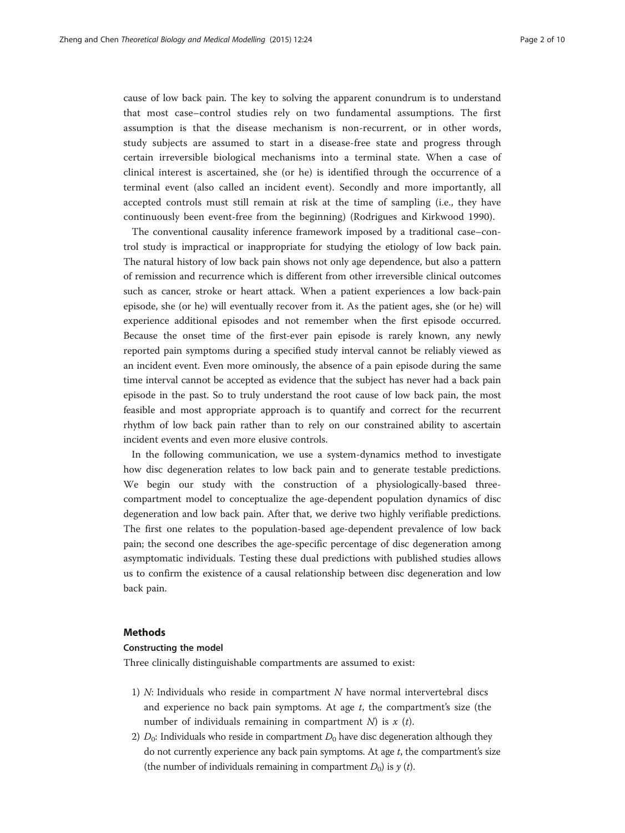cause of low back pain. The key to solving the apparent conundrum is to understand that most case–control studies rely on two fundamental assumptions. The first assumption is that the disease mechanism is non-recurrent, or in other words, study subjects are assumed to start in a disease-free state and progress through certain irreversible biological mechanisms into a terminal state. When a case of clinical interest is ascertained, she (or he) is identified through the occurrence of a terminal event (also called an incident event). Secondly and more importantly, all accepted controls must still remain at risk at the time of sampling (i.e., they have continuously been event-free from the beginning) (Rodrigues and Kirkwood [1990](#page-9-0)).

The conventional causality inference framework imposed by a traditional case–control study is impractical or inappropriate for studying the etiology of low back pain. The natural history of low back pain shows not only age dependence, but also a pattern of remission and recurrence which is different from other irreversible clinical outcomes such as cancer, stroke or heart attack. When a patient experiences a low back-pain episode, she (or he) will eventually recover from it. As the patient ages, she (or he) will experience additional episodes and not remember when the first episode occurred. Because the onset time of the first-ever pain episode is rarely known, any newly reported pain symptoms during a specified study interval cannot be reliably viewed as an incident event. Even more ominously, the absence of a pain episode during the same time interval cannot be accepted as evidence that the subject has never had a back pain episode in the past. So to truly understand the root cause of low back pain, the most feasible and most appropriate approach is to quantify and correct for the recurrent rhythm of low back pain rather than to rely on our constrained ability to ascertain incident events and even more elusive controls.

In the following communication, we use a system-dynamics method to investigate how disc degeneration relates to low back pain and to generate testable predictions. We begin our study with the construction of a physiologically-based threecompartment model to conceptualize the age-dependent population dynamics of disc degeneration and low back pain. After that, we derive two highly verifiable predictions. The first one relates to the population-based age-dependent prevalence of low back pain; the second one describes the age-specific percentage of disc degeneration among asymptomatic individuals. Testing these dual predictions with published studies allows us to confirm the existence of a causal relationship between disc degeneration and low back pain.

#### Methods

#### Constructing the model

Three clinically distinguishable compartments are assumed to exist:

- 1)  $N$ : Individuals who reside in compartment  $N$  have normal intervertebral discs and experience no back pain symptoms. At age  $t$ , the compartment's size (the number of individuals remaining in compartment  $N$ ) is  $x(t)$ .
- 2)  $D_0$ : Individuals who reside in compartment  $D_0$  have disc degeneration although they do not currently experience any back pain symptoms. At age  $t$ , the compartment's size (the number of individuals remaining in compartment  $D_0$ ) is  $y(t)$ .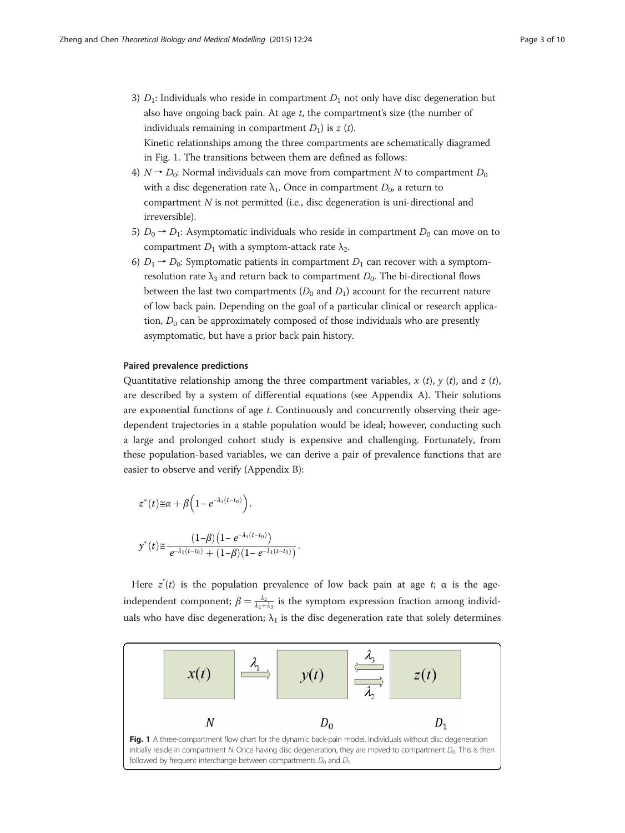- 3)  $D_1$ : Individuals who reside in compartment  $D_1$  not only have disc degeneration but also have ongoing back pain. At age  $t$ , the compartment's size (the number of individuals remaining in compartment  $D_1$ ) is  $z(t)$ . Kinetic relationships among the three compartments are schematically diagramed in Fig. 1. The transitions between them are defined as follows:
- 4)  $N \rightarrow D_0$ : Normal individuals can move from compartment N to compartment  $D_0$ with a disc degeneration rate  $\lambda_1$ . Once in compartment  $D_0$ , a return to compartment N is not permitted (i.e., disc degeneration is uni-directional and irreversible).
- 5)  $D_0 \rightarrow D_1$ : Asymptomatic individuals who reside in compartment  $D_0$  can move on to compartment  $D_1$  with a symptom-attack rate  $\lambda_2$ .
- 6)  $D_1 \rightarrow D_0$ : Symptomatic patients in compartment  $D_1$  can recover with a symptomresolution rate  $\lambda_3$  and return back to compartment  $D_0$ . The bi-directional flows between the last two compartments  $(D_0 \text{ and } D_1)$  account for the recurrent nature of low back pain. Depending on the goal of a particular clinical or research application,  $D_0$  can be approximately composed of those individuals who are presently asymptomatic, but have a prior back pain history.

#### Paired prevalence predictions

Quantitative relationship among the three compartment variables,  $x(t)$ ,  $y(t)$ , and  $z(t)$ , are described by a system of differential equations (see [Appendix A\)](#page-7-0). Their solutions are exponential functions of age  $t$ . Continuously and concurrently observing their agedependent trajectories in a stable population would be ideal; however, conducting such a large and prolonged cohort study is expensive and challenging. Fortunately, from these population-based variables, we can derive a pair of prevalence functions that are easier to observe and verify ([Appendix B](#page-8-0)):

$$
z^*(t) \cong \alpha + \beta \Big( 1 - e^{-\lambda_1 (t - t_0)} \Big),
$$
  

$$
y^*(t) \cong \frac{(1 - \beta) \Big( 1 - e^{-\lambda_1 (t - t_0)} \Big)}{e^{-\lambda_1 (t - t_0)} + (1 - \beta) \Big( 1 - e^{-\lambda_1 (t - t_0)} \Big)}.
$$

Here  $z^*(t)$  is the population prevalence of low back pain at age  $t$ ;  $\alpha$  is the ageindependent component;  $\beta = \frac{\lambda_2}{\lambda_2 + \lambda_3}$  is the symptom expression fraction among individuals who have disc degeneration;  $\lambda_1$  is the disc degeneration rate that solely determines

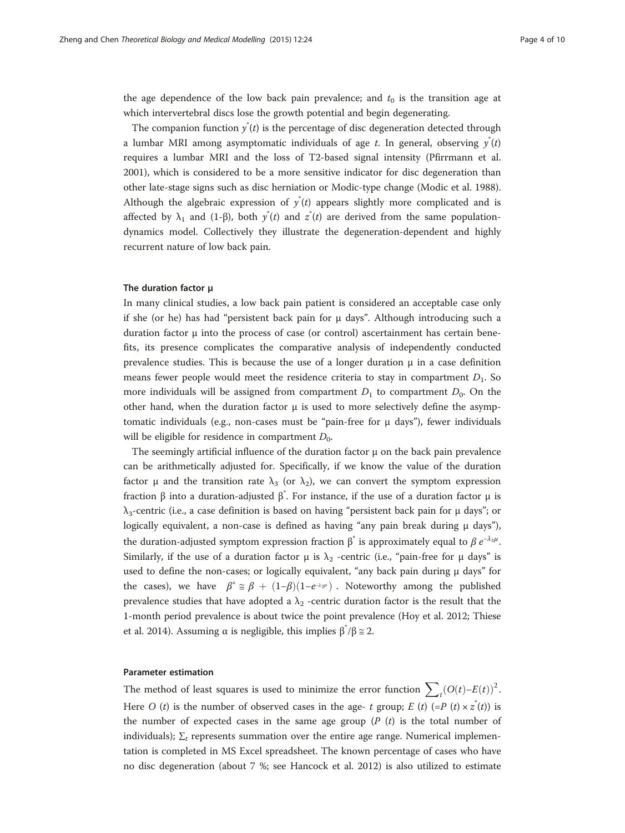the age dependence of the low back pain prevalence; and  $t_0$  is the transition age at which intervertebral discs lose the growth potential and begin degenerating.

The companion function  $y^*(t)$  is the percentage of disc degeneration detected through a lumbar MRI among asymptomatic individuals of age t. In general, observing  $y^*(t)$ requires a lumbar MRI and the loss of T2-based signal intensity (Pfirrmann et al. [2001](#page-9-0)), which is considered to be a more sensitive indicator for disc degeneration than other late-stage signs such as disc herniation or Modic-type change (Modic et al. [1988](#page-9-0)). Although the algebraic expression of  $y^*(t)$  appears slightly more complicated and is affected by  $\lambda_1$  and (1-β), both  $y^*(t)$  and  $z^*(t)$  are derived from the same populationdynamics model. Collectively they illustrate the degeneration-dependent and highly recurrent nature of low back pain.

#### The duration factor μ

In many clinical studies, a low back pain patient is considered an acceptable case only if she (or he) has had "persistent back pain for  $\mu$  days". Although introducing such a duration factor μ into the process of case (or control) ascertainment has certain benefits, its presence complicates the comparative analysis of independently conducted prevalence studies. This is because the use of a longer duration μ in a case definition means fewer people would meet the residence criteria to stay in compartment  $D_1$ . So more individuals will be assigned from compartment  $D_1$  to compartment  $D_0$ . On the other hand, when the duration factor  $\mu$  is used to more selectively define the asymptomatic individuals (e.g., non-cases must be "pain-free for μ days"), fewer individuals will be eligible for residence in compartment  $D_0$ .

The seemingly artificial influence of the duration factor  $\mu$  on the back pain prevalence can be arithmetically adjusted for. Specifically, if we know the value of the duration factor  $\mu$  and the transition rate  $\lambda_3$  (or  $\lambda_2$ ), we can convert the symptom expression fraction β into a duration-adjusted  $\beta^*$ . For instance, if the use of a duration factor  $\mu$  is  $λ_3$ -centric (i.e., a case definition is based on having "persistent back pain for μ days"; or logically equivalent, a non-case is defined as having "any pain break during μ days"), the duration-adjusted symptom expression fraction  $β^*$  is approximately equal to  $β e^{-λ_3μ}$ . Similarly, if the use of a duration factor μ is  $\lambda_2$  -centric (i.e., "pain-free for μ days" is used to define the non-cases; or logically equivalent, "any back pain during μ days" for the cases), we have  $\beta^* \cong \beta + (1-\beta)(1-e^{-\lambda_2\mu})$ . Noteworthy among the published prevalence studies that have adopted a  $\lambda_2$  -centric duration factor is the result that the 1-month period prevalence is about twice the point prevalence (Hoy et al. [2012](#page-9-0); Thiese et al. [2014\)](#page-9-0). Assuming  $\alpha$  is negligible, this implies  $\beta^*/\beta \approx 2$ .

### Parameter estimation

The method of least squares is used to minimize the error function  $\sum_{t} (O(t) - E(t))^2$ . Here O (t) is the number of observed cases in the age- t group; E (t)  $(=P(t) \times z^{*}(t))$  is the number of expected cases in the same age group  $(P(t))$  is the total number of individuals);  $\Sigma_t$  represents summation over the entire age range. Numerical implementation is completed in MS Excel spreadsheet. The known percentage of cases who have no disc degeneration (about 7 %; see Hancock et al. [2012\)](#page-9-0) is also utilized to estimate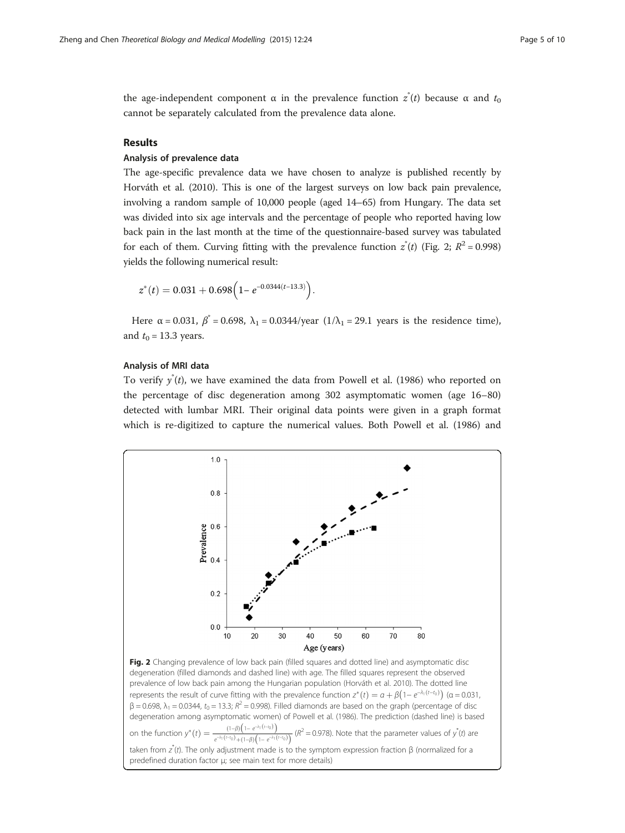<span id="page-4-0"></span>the age-independent component α in the prevalence function  $\dot{z}(t)$  because α and  $t_0$ cannot be separately calculated from the prevalence data alone.

## Results

## Analysis of prevalence data

The age-specific prevalence data we have chosen to analyze is published recently by Horváth et al. [\(2010](#page-9-0)). This is one of the largest surveys on low back pain prevalence, involving a random sample of 10,000 people (aged 14–65) from Hungary. The data set was divided into six age intervals and the percentage of people who reported having low back pain in the last month at the time of the questionnaire-based survey was tabulated for each of them. Curving fitting with the prevalence function  $z(t)$  (Fig. 2;  $R^2 = 0.998$ ) yields the following numerical result:

$$
z^*(t) = 0.031 + 0.698 \left( 1 - e^{-0.0344(t-13.3)} \right).
$$

Here  $\alpha = 0.031$ ,  $\beta^* = 0.698$ ,  $\lambda_1 = 0.0344$ /year  $(1/\lambda_1 = 29.1$  years is the residence time), and  $t_0$  = 13.3 years.

#### Analysis of MRI data

To verify  $y^*(t)$ , we have examined the data from Powell et al. ([1986\)](#page-9-0) who reported on the percentage of disc degeneration among 302 asymptomatic women (age 16–80) detected with lumbar MRI. Their original data points were given in a graph format which is re-digitized to capture the numerical values. Both Powell et al. [\(1986\)](#page-9-0) and



on the function y  $(1-e^{-\lambda_1(t-t_0)})$ e  $e^{-\lambda_1(t-t_0)} + (1-\beta) (1 - e^{-\lambda_1(t-t_0)})$  $\frac{(\alpha_1, \alpha_2, \alpha_3)}{(\alpha_1 - e^{-\lambda_1(\alpha_2)})}$  ( $\beta^2 = 0.978$ ). Note that the parameter values of  $y^*(t)$  are taken from  $z^*(t)$ . The only adjustment made is to the symptom expression fraction β (normalized for a predefined duration factor μ; see main text for more details)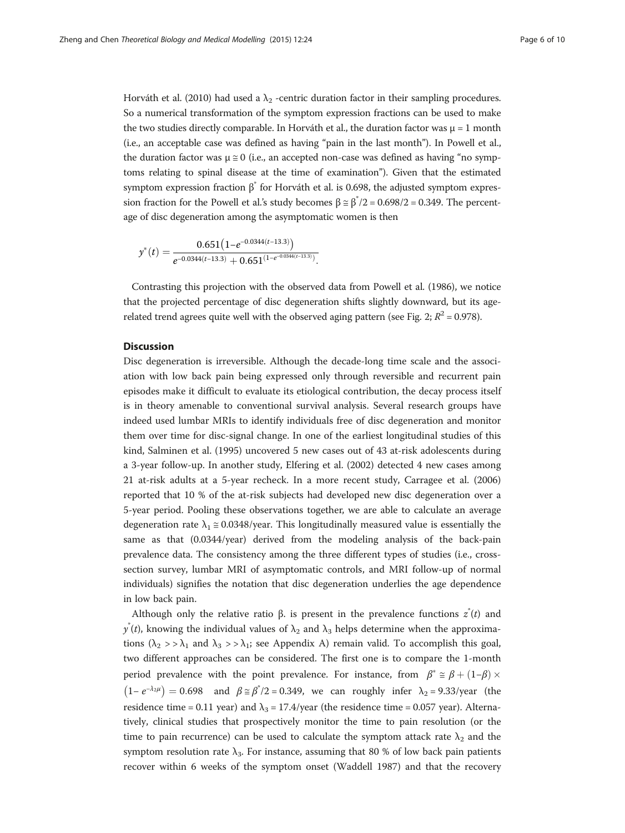Horváth et al. [\(2010\)](#page-9-0) had used a  $\lambda_2$ -centric duration factor in their sampling procedures. So a numerical transformation of the symptom expression fractions can be used to make the two studies directly comparable. In Horváth et al., the duration factor was  $\mu = 1$  month (i.e., an acceptable case was defined as having "pain in the last month"). In Powell et al., the duration factor was  $\mu \approx 0$  (i.e., an accepted non-case was defined as having "no symptoms relating to spinal disease at the time of examination"). Given that the estimated symptom expression fraction  $β^*$  for Horváth et al. is 0.698, the adjusted symptom expression fraction for the Powell et al.'s study becomes  $\beta \approx \beta^*/2 = 0.698/2 = 0.349$ . The percentage of disc degeneration among the asymptomatic women is then

$$
y^*(t) = \frac{0.651(1 - e^{-0.0344(t - 13.3)})}{e^{-0.0344(t - 13.3)} + 0.651^{(1 - e^{-0.0344(t - 13.3)})}}
$$

Contrasting this projection with the observed data from Powell et al. [\(1986](#page-9-0)), we notice that the projected percentage of disc degeneration shifts slightly downward, but its age-related trend agrees quite well with the observed aging pattern (see Fig. [2](#page-4-0);  $R^2 = 0.978$ ).

#### **Discussion**

Disc degeneration is irreversible. Although the decade-long time scale and the association with low back pain being expressed only through reversible and recurrent pain episodes make it difficult to evaluate its etiological contribution, the decay process itself is in theory amenable to conventional survival analysis. Several research groups have indeed used lumbar MRIs to identify individuals free of disc degeneration and monitor them over time for disc-signal change. In one of the earliest longitudinal studies of this kind, Salminen et al. [\(1995\)](#page-9-0) uncovered 5 new cases out of 43 at-risk adolescents during a 3-year follow-up. In another study, Elfering et al. ([2002](#page-9-0)) detected 4 new cases among 21 at-risk adults at a 5-year recheck. In a more recent study, Carragee et al. ([2006](#page-9-0)) reported that 10 % of the at-risk subjects had developed new disc degeneration over a 5-year period. Pooling these observations together, we are able to calculate an average degeneration rate  $\lambda_1 \approx 0.0348$ /year. This longitudinally measured value is essentially the same as that (0.0344/year) derived from the modeling analysis of the back-pain prevalence data. The consistency among the three different types of studies (i.e., crosssection survey, lumbar MRI of asymptomatic controls, and MRI follow-up of normal individuals) signifies the notation that disc degeneration underlies the age dependence in low back pain.

Although only the relative ratio β. is present in the prevalence functions  $z^*(t)$  and  $y^*(t)$ , knowing the individual values of  $\lambda_2$  and  $\lambda_3$  helps determine when the approximations ( $\lambda_2$  > >  $\lambda_1$  and  $\lambda_3$  > >  $\lambda_1$ ; see [Appendix A\)](#page-7-0) remain valid. To accomplish this goal, two different approaches can be considered. The first one is to compare the 1-month period prevalence with the point prevalence. For instance, from  $\beta^* \cong \beta + (1-\beta) \times$  $(1-e^{-\lambda_2\mu}) = 0.698$  and  $\beta \approx \beta^*/2 = 0.349$ , we can roughly infer  $\lambda_2 = 9.33$ /year (the residence time = 0.11 year) and  $\lambda_3 = 17.4$ /year (the residence time = 0.057 year). Alternatively, clinical studies that prospectively monitor the time to pain resolution (or the time to pain recurrence) can be used to calculate the symptom attack rate  $\lambda_2$  and the symptom resolution rate  $\lambda_3$ . For instance, assuming that 80 % of low back pain patients recover within 6 weeks of the symptom onset (Waddell [1987\)](#page-9-0) and that the recovery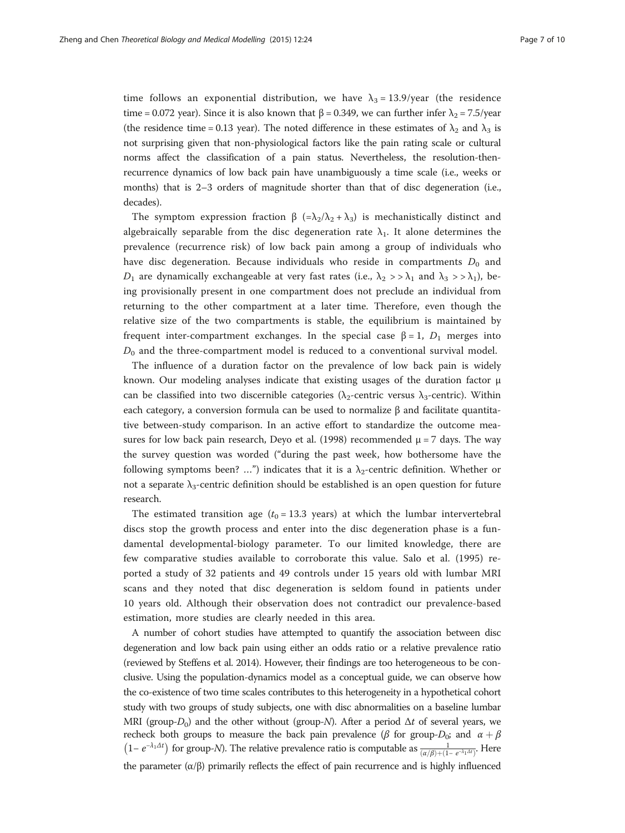time follows an exponential distribution, we have  $\lambda_3 = 13.9$ /year (the residence time = 0.072 year). Since it is also known that  $\beta$  = 0.349, we can further infer  $\lambda_2$  = 7.5/year (the residence time = 0.13 year). The noted difference in these estimates of  $\lambda_2$  and  $\lambda_3$  is not surprising given that non-physiological factors like the pain rating scale or cultural norms affect the classification of a pain status. Nevertheless, the resolution-thenrecurrence dynamics of low back pain have unambiguously a time scale (i.e., weeks or months) that is 2–3 orders of magnitude shorter than that of disc degeneration (i.e., decades).

The symptom expression fraction  $\beta$  (= $\lambda_2/\lambda_2 + \lambda_3$ ) is mechanistically distinct and algebraically separable from the disc degeneration rate  $\lambda_1$ . It alone determines the prevalence (recurrence risk) of low back pain among a group of individuals who have disc degeneration. Because individuals who reside in compartments  $D_0$  and  $D_1$  are dynamically exchangeable at very fast rates (i.e.,  $\lambda_2 >> \lambda_1$  and  $\lambda_3 >> \lambda_1$ ), being provisionally present in one compartment does not preclude an individual from returning to the other compartment at a later time. Therefore, even though the relative size of the two compartments is stable, the equilibrium is maintained by frequent inter-compartment exchanges. In the special case  $\beta = 1$ ,  $D_1$  merges into  $D_0$  and the three-compartment model is reduced to a conventional survival model.

The influence of a duration factor on the prevalence of low back pain is widely known. Our modeling analyses indicate that existing usages of the duration factor μ can be classified into two discernible categories ( $\lambda_2$ -centric versus  $\lambda_3$ -centric). Within each category, a conversion formula can be used to normalize  $\beta$  and facilitate quantitative between-study comparison. In an active effort to standardize the outcome mea-sures for low back pain research, Deyo et al. ([1998\)](#page-9-0) recommended  $\mu$  = 7 days. The way the survey question was worded ("during the past week, how bothersome have the following symptoms been? ...") indicates that it is a  $\lambda_2$ -centric definition. Whether or not a separate  $\lambda_3$ -centric definition should be established is an open question for future research.

The estimated transition age  $(t_0 = 13.3 \text{ years})$  at which the lumbar intervertebral discs stop the growth process and enter into the disc degeneration phase is a fundamental developmental-biology parameter. To our limited knowledge, there are few comparative studies available to corroborate this value. Salo et al. [\(1995](#page-9-0)) reported a study of 32 patients and 49 controls under 15 years old with lumbar MRI scans and they noted that disc degeneration is seldom found in patients under 10 years old. Although their observation does not contradict our prevalence-based estimation, more studies are clearly needed in this area.

A number of cohort studies have attempted to quantify the association between disc degeneration and low back pain using either an odds ratio or a relative prevalence ratio (reviewed by Steffens et al. [2014](#page-9-0)). However, their findings are too heterogeneous to be conclusive. Using the population-dynamics model as a conceptual guide, we can observe how the co-existence of two time scales contributes to this heterogeneity in a hypothetical cohort study with two groups of study subjects, one with disc abnormalities on a baseline lumbar MRI (group- $D_0$ ) and the other without (group-N). After a period  $\Delta t$  of several years, we recheck both groups to measure the back pain prevalence ( $\beta$  for group- $D_0$ ; and  $\alpha + \beta$  $(1-e^{-\lambda_1\Delta t})$  for group-N). The relative prevalence ratio is computable as  $\frac{1}{(\alpha/\beta)+(1-e^{-\lambda_1\Delta t})}$ . Here the parameter  $(\alpha/\beta)$  primarily reflects the effect of pain recurrence and is highly influenced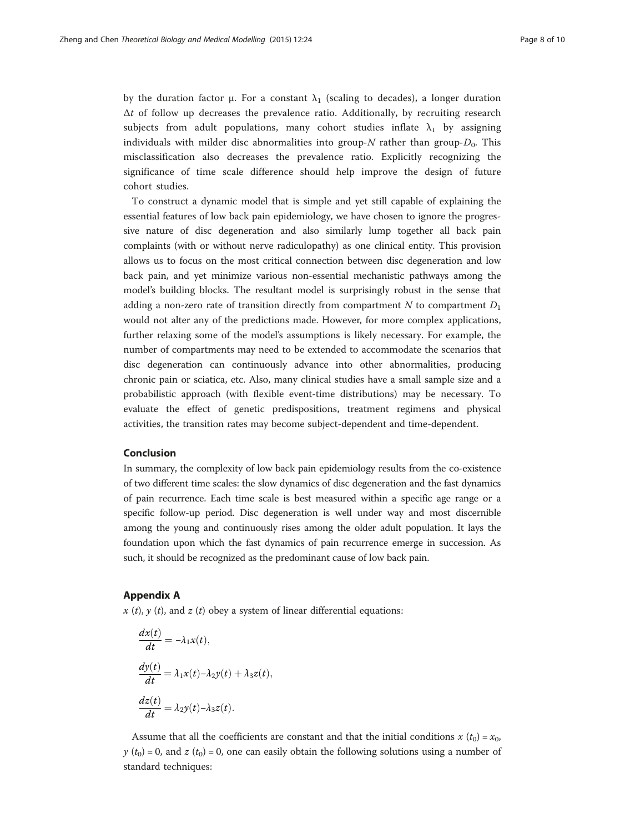<span id="page-7-0"></span>by the duration factor μ. For a constant  $\lambda_1$  (scaling to decades), a longer duration  $\Delta t$  of follow up decreases the prevalence ratio. Additionally, by recruiting research subjects from adult populations, many cohort studies inflate  $\lambda_1$  by assigning individuals with milder disc abnormalities into group- $N$  rather than group- $D_0$ . This misclassification also decreases the prevalence ratio. Explicitly recognizing the significance of time scale difference should help improve the design of future cohort studies.

To construct a dynamic model that is simple and yet still capable of explaining the essential features of low back pain epidemiology, we have chosen to ignore the progressive nature of disc degeneration and also similarly lump together all back pain complaints (with or without nerve radiculopathy) as one clinical entity. This provision allows us to focus on the most critical connection between disc degeneration and low back pain, and yet minimize various non-essential mechanistic pathways among the model's building blocks. The resultant model is surprisingly robust in the sense that adding a non-zero rate of transition directly from compartment N to compartment  $D_1$ would not alter any of the predictions made. However, for more complex applications, further relaxing some of the model's assumptions is likely necessary. For example, the number of compartments may need to be extended to accommodate the scenarios that disc degeneration can continuously advance into other abnormalities, producing chronic pain or sciatica, etc. Also, many clinical studies have a small sample size and a probabilistic approach (with flexible event-time distributions) may be necessary. To evaluate the effect of genetic predispositions, treatment regimens and physical activities, the transition rates may become subject-dependent and time-dependent.

## Conclusion

In summary, the complexity of low back pain epidemiology results from the co-existence of two different time scales: the slow dynamics of disc degeneration and the fast dynamics of pain recurrence. Each time scale is best measured within a specific age range or a specific follow-up period. Disc degeneration is well under way and most discernible among the young and continuously rises among the older adult population. It lays the foundation upon which the fast dynamics of pain recurrence emerge in succession. As such, it should be recognized as the predominant cause of low back pain.

#### Appendix A

 $x(t)$ ,  $y(t)$ , and  $z(t)$  obey a system of linear differential equations:

$$
\begin{aligned} \frac{dx(t)}{dt} &= -\lambda_1 x(t), \\ \frac{dy(t)}{dt} &= \lambda_1 x(t) - \lambda_2 y(t) + \lambda_3 z(t), \\ \frac{dz(t)}{dt} &= \lambda_2 y(t) - \lambda_3 z(t). \end{aligned}
$$

Assume that all the coefficients are constant and that the initial conditions  $x(t_0) = x_0$ ,  $y(t_0) = 0$ , and  $z(t_0) = 0$ , one can easily obtain the following solutions using a number of standard techniques: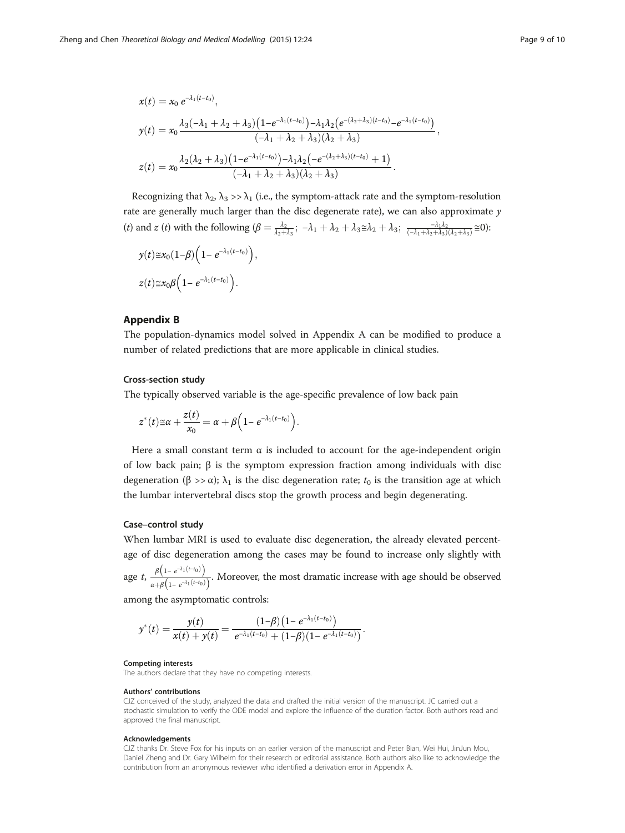<span id="page-8-0"></span>
$$
x(t) = x_0 e^{-\lambda_1 (t-t_0)},
$$
  
\n
$$
y(t) = x_0 \frac{\lambda_3 (-\lambda_1 + \lambda_2 + \lambda_3) (1 - e^{-\lambda_1 (t-t_0)}) - \lambda_1 \lambda_2 (e^{-(\lambda_2 + \lambda_3)(t-t_0)} - e^{-\lambda_1 (t-t_0)})}{(-\lambda_1 + \lambda_2 + \lambda_3)(\lambda_2 + \lambda_3)},
$$
  
\n
$$
z(t) = x_0 \frac{\lambda_2 (\lambda_2 + \lambda_3) (1 - e^{-\lambda_1 (t-t_0)}) - \lambda_1 \lambda_2 (-e^{-(\lambda_2 + \lambda_3)(t-t_0)} + 1)}{(-\lambda_1 + \lambda_2 + \lambda_3)(\lambda_2 + \lambda_3)}.
$$

Recognizing that  $\lambda_2$ ,  $\lambda_3 >> \lambda_1$  (i.e., the symptom-attack rate and the symptom-resolution rate are generally much larger than the disc degenerate rate), we can also approximate  $y$ (t) and z (t) with the following  $\beta = \frac{\lambda_2}{\lambda_2 + \lambda_3}$ ;  $-\lambda_1 + \lambda_2 + \lambda_3 \le \lambda_2 + \lambda_3$ ;  $\frac{-\lambda_1 \lambda_2}{(-\lambda_1 + \lambda_2 + \lambda_3)(\lambda_2 + \lambda_3)} \le 0$ ):

$$
y(t) \cong x_0 \left(1 - \beta\right) \left(1 - e^{-\lambda_1(t - t_0)}\right),
$$
  

$$
z(t) \cong x_0 \beta \left(1 - e^{-\lambda_1(t - t_0)}\right).
$$

## Appendix B

The population-dynamics model solved in Appendix A can be modified to produce a number of related predictions that are more applicable in clinical studies.

#### Cross-section study

The typically observed variable is the age-specific prevalence of low back pain

$$
z^*(t) \cong \alpha + \frac{z(t)}{x_0} = \alpha + \beta \Big( 1 - e^{-\lambda_1(t - t_0)} \Big).
$$

Here a small constant term  $\alpha$  is included to account for the age-independent origin of low back pain; β is the symptom expression fraction among individuals with disc degeneration ( $\beta$  >>  $\alpha$ );  $\lambda_1$  is the disc degeneration rate;  $t_0$  is the transition age at which the lumbar intervertebral discs stop the growth process and begin degenerating.

#### Case–control study

When lumbar MRI is used to evaluate disc degeneration, the already elevated percentage of disc degeneration among the cases may be found to increase only slightly with age  $t$ ,  $\frac{\beta(1-e^{-\lambda_1(t-t_0)})}{\beta(1-e^{-\lambda_1(t-t_0)})}$  $\frac{P(Y \cap C)}{\alpha+\beta(1-e^{-\lambda_1(t-t_0)})}$ . Moreover, the most dramatic increase with age should be observed

among the asymptomatic controls:

$$
y^*(t) = \frac{y(t)}{x(t) + y(t)} = \frac{(1-\beta)(1 - e^{-\lambda_1(t-t_0)})}{e^{-\lambda_1(t-t_0)} + (1-\beta)(1 - e^{-\lambda_1(t-t_0)})}.
$$

#### Competing interests

The authors declare that they have no competing interests.

#### Authors' contributions

CJZ conceived of the study, analyzed the data and drafted the initial version of the manuscript. JC carried out a stochastic simulation to verify the ODE model and explore the influence of the duration factor. Both authors read and approved the final manuscript.

#### Acknowledgements

CJZ thanks Dr. Steve Fox for his inputs on an earlier version of the manuscript and Peter Bian, Wei Hui, JinJun Mou, Daniel Zheng and Dr. Gary Wilhelm for their research or editorial assistance. Both authors also like to acknowledge the contribution from an anonymous reviewer who identified a derivation error in Appendix [A](#page-7-0).